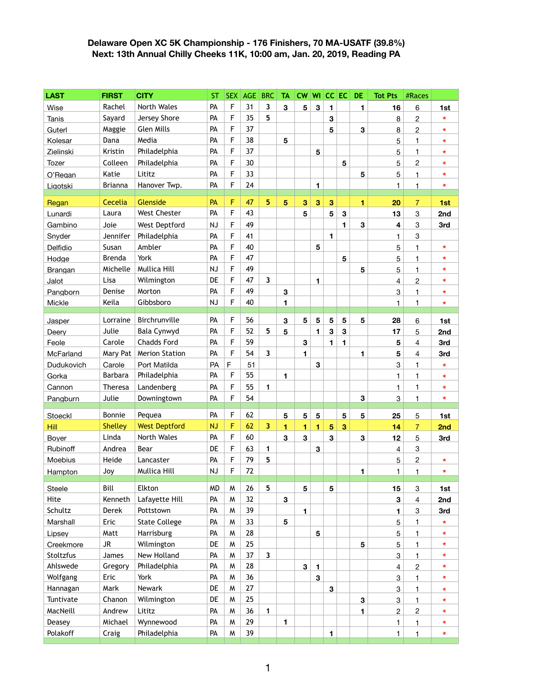## **Delaware Open XC 5K Championship - 176 Finishers, 70 MA-USATF (39.8%) Next: 13th Annual Chilly Cheeks 11K, 10:00 am, Jan. 20, 2019, Reading PA**

| <b>LAST</b>   | <b>FIRST</b>   | <b>CITY</b>           | <b>ST</b> | <b>SEX</b>  | <b>AGE</b> | <b>BRC</b> | <b>TA</b>               | CW              | WI             | $CC$ EC        |                         | <b>DE</b>       | <b>Tot Pts</b>            | #Races         |     |
|---------------|----------------|-----------------------|-----------|-------------|------------|------------|-------------------------|-----------------|----------------|----------------|-------------------------|-----------------|---------------------------|----------------|-----|
| Wise          | Rachel         | North Wales           | PA        | F           | 31         | 3          | 3                       | $5\phantom{.0}$ | 3              | 1              |                         | 1               | 16                        | 6              | 1st |
| <b>Tanis</b>  | Sayard         | Jersey Shore          | PA        | F           | 35         | 5          |                         |                 |                | 3              |                         |                 | 8                         | $\overline{c}$ | *   |
| Guterl        | Maggie         | <b>Glen Mills</b>     | PA        | F           | 37         |            |                         |                 |                | 5              |                         | 3               | 8                         | $\overline{2}$ | *   |
| Kolesar       | Dana           | Media                 | PA        | F           | 38         |            | 5                       |                 |                |                |                         |                 | 5                         | 1              | *   |
| Zielinski     | Kristin        | Philadelphia          | PA        | F           | 37         |            |                         |                 | 5              |                |                         |                 | 5                         | 1              | *   |
| Tozer         | Colleen        | Philadelphia          | PA        | F           | 30         |            |                         |                 |                |                | 5                       |                 | 5                         | $\overline{c}$ | *   |
| O'Regan       | Katie          | Lititz                | PA        | F           | 33         |            |                         |                 |                |                |                         | 5               | 5                         | 1              | *   |
| Ligotski      | <b>Brianna</b> | Hanover Twp.          | PA        | F           | 24         |            |                         |                 | 1              |                |                         |                 | 1                         | 1              | *   |
| Regan         | Cecelia        | Glenside              | PA        | F           | 47         | 5          | $5\phantom{1}$          | 3               | $\mathbf{3}$   | 3              |                         | 1               | 20                        | $\overline{7}$ | 1st |
| Lunardi       | Laura          | <b>West Chester</b>   | PA        | F           | 43         |            |                         | 5               |                | 5              | $\mathbf 3$             |                 | 13                        | 3              | 2nd |
| Gambino       | Joie           | West Deptford         | <b>NJ</b> | F           | 49         |            |                         |                 |                |                | $\blacksquare$          | 3               | 4                         | 3              | 3rd |
| Snyder        | Jennifer       | Philadelphia          | PA        | F           | 41         |            |                         |                 |                | 1              |                         |                 | 1                         | 3              |     |
| Delfidio      | Susan          | Ambler                | PA        | F           | 40         |            |                         |                 | 5              |                |                         |                 | 5                         | 1              | *   |
| Hodge         | <b>Brenda</b>  | York                  | PA        | F           | 47         |            |                         |                 |                |                | 5                       |                 | 5                         | 1              | *   |
| Brangan       | Michelle       | Mullica Hill          | NJ        | F           | 49         |            |                         |                 |                |                |                         | 5               | 5                         | 1              | *   |
| Jalot         | Lisa           | Wilmington            | DE        | F           | 47         | 3          |                         |                 | 1              |                |                         |                 | 4                         | $\overline{2}$ | *   |
| Pangborn      | Denise         | Morton                | PA        | F           | 49         |            | 3                       |                 |                |                |                         |                 | 3                         | $\mathbf{1}$   | *   |
| Mickle        | Keila          | Gibbsboro             | <b>NJ</b> | F           | 40         |            | 1                       |                 |                |                |                         |                 | 1                         | 1              | *   |
|               |                |                       |           |             |            |            |                         |                 |                |                |                         |                 |                           |                |     |
| Jasper        | Lorraine       | Birchrunville         | PA        | F           | 56         |            | 3                       | $5\phantom{.0}$ | 5              | 5              | $5\phantom{1}$          | 5               | 28                        | 6              | 1st |
| Deery         | Julie          | Bala Cynwyd           | PA        | F           | 52         | 5          | 5                       |                 | 1              | 3              | $\mathbf 3$             |                 | 17                        | 5              | 2nd |
| Feole         | Carole         | Chadds Ford           | PA        | F           | 59         |            |                         | 3               |                | 1              | 1                       |                 | 5                         | 4              | 3rd |
| McFarland     | Mary Pat       | <b>Merion Station</b> | PA        | F           | 54         | 3          |                         | 1               |                |                |                         | 1               | 5                         | 4              | 3rd |
| Dudukovich    | Carole         | Port Matilda          | PA        | F           | 51         |            |                         |                 | 3              |                |                         |                 | 3                         | 1              | *   |
| Gorka         | Barbara        | Philadelphia          | PA        | F           | 55         |            | 1                       |                 |                |                |                         |                 | 1                         | 1              | *   |
| Cannon        | Theresa        | Landenberg            | PA        | F           | 55         | 1          |                         |                 |                |                |                         |                 | 1                         | 1              | *   |
| Pangburn      | Julie          | Downingtown           | PA        | F           | 54         |            |                         |                 |                |                |                         | 3               | 3                         | $\mathbf{1}$   | *   |
| Stoeckl       | Bonnie         | Pequea                | PA        | F           | 62         |            | 5                       | $5\phantom{.0}$ | 5              |                | 5                       | $5\phantom{.0}$ | 25                        | 5              | 1st |
| Hill          | <b>Shelley</b> | <b>West Deptford</b>  | <b>NJ</b> | F           | 62         | 3          | 1                       | 1               | 1              | 5              | $\overline{\mathbf{3}}$ |                 | 14                        | $\overline{7}$ | 2nd |
| Boyer         | Linda          | North Wales           | PA        | F           | 60         |            | $\mathbf{3}$            | $\overline{3}$  |                | 3              |                         | $\mathbf 3$     | 12                        | 5              | 3rd |
| Rubinoff      | Andrea         | Bear                  | DE        | F           | 63         | 1          |                         |                 | $\mathbf{3}$   |                |                         |                 | 4                         | 3              |     |
| Moebius       | Heide          | Lancaster             | PA        | $\mathsf F$ | 79         | 5          |                         |                 |                |                |                         |                 | 5                         | $\overline{c}$ | *.  |
| Hampton       | Joy            | Mullica Hill          | <b>NJ</b> | F           | 72         |            |                         |                 |                |                |                         | 1               | 1                         | 1              | *   |
|               |                |                       |           |             |            |            |                         |                 |                |                |                         |                 |                           |                |     |
| <b>Steele</b> | Bill           | Elkton                | <b>MD</b> | W           | 26         | 5          |                         | $5\phantom{1}$  |                | $5\phantom{a}$ |                         |                 | 15                        | 3              | 1st |
| Hite          | Kenneth        | Lafayette Hill        | PA        | W           | 32         |            | $\mathbf{3}$            |                 |                |                |                         |                 | $\mathbf{3}$              | $\overline{4}$ | 2nd |
| Schultz       | Derek          | Pottstown             | PA        | M           | 39         |            |                         | 1               |                |                |                         |                 | 1                         | 3              | 3rd |
| Marshall      | Eric           | <b>State College</b>  | PA        | M           | 33         |            | $\overline{\mathbf{5}}$ |                 |                |                |                         |                 | 5                         | $\mathbf{1}$   | *   |
| Lipsey        | Matt           | Harrisburg            | PA        | W           | 28         |            |                         |                 | 5              |                |                         |                 | 5                         | 1              | *   |
| Creekmore     | <b>JR</b>      | Wilmington            | DE        | M           | 25         |            |                         |                 |                |                |                         | 5               | $\overline{5}$            | $\mathbf{1}$   | *   |
| Stoltzfus     | James          | New Holland           | PA        | W           | 37         | 3          |                         |                 |                |                |                         |                 | 3                         | 1              | *   |
| Ahlswede      | Gregory        | Philadelphia          | PA        | M           | 28         |            |                         | $\mathbf 3$     | $\mathbf{1}$   |                |                         |                 | $\overline{\mathcal{A}}$  | $\overline{2}$ | *   |
| Wolfgang      | Eric           | York                  | PA        | W           | 36         |            |                         |                 | $\overline{3}$ |                |                         |                 | 3                         | 1              | *   |
| Hannagan      | Mark           | Newark                | DE        | M           | 27         |            |                         |                 |                | 3              |                         |                 | 3                         | $\mathbf{1}$   | *   |
| Tuntivate     | Chanon         | Wilmington            | DE        | W           | 25         |            |                         |                 |                |                |                         | 3               | $\ensuremath{\mathsf{3}}$ | 1              | *   |
| MacNeill      | Andrew         | Lititz                | PA        | W           | 36         | 1          |                         |                 |                |                |                         | 1               | $\overline{c}$            | $\overline{2}$ | *   |
| Deasey        | Michael        | Wynnewood             | PA        | W           | 29         |            | 1                       |                 |                |                |                         |                 | 1                         | 1              | *   |
| Polakoff      | Craig          | Philadelphia          | PA        | W           | 39         |            |                         |                 |                | 1              |                         |                 | 1                         | $\mathbf{1}$   | *   |